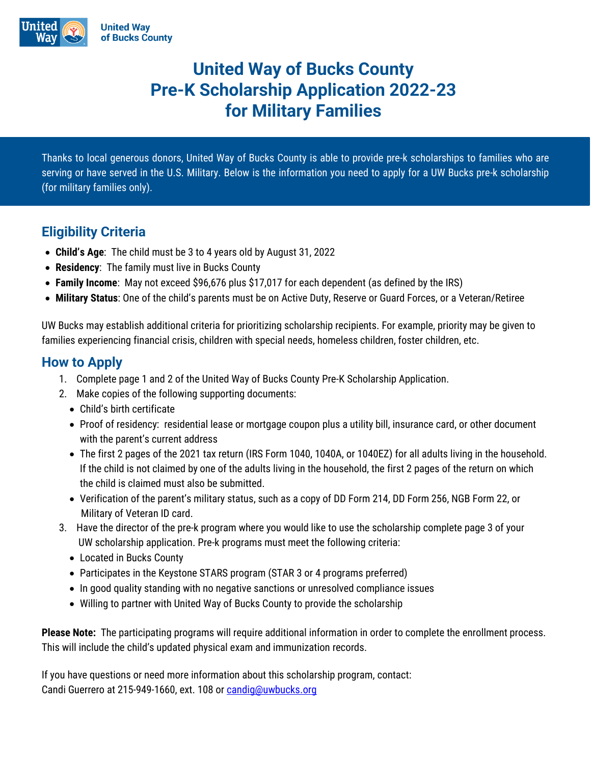

# **United Way of Bucks County Pre-K Scholarship Application 2022-23 for Military Families**

Thanks to local generous donors, United Way of Bucks County is able to provide pre-k scholarships to families who are serving or have served in the U.S. Military. Below is the information you need to apply for a UW Bucks pre-k scholarship (for military families only).

### **Eligibility Criteria**

- **Child's Age**: The child must be 3 to 4 years old by August 31, 2022
- **Residency**: The family must live in Bucks County
- **Family Income**: May not exceed \$96,676 plus \$17,017 for each dependent (as defined by the IRS)
- **Military Status**: One of the child's parents must be on Active Duty, Reserve or Guard Forces, or a Veteran/Retiree

UW Bucks may establish additional criteria for prioritizing scholarship recipients. For example, priority may be given to families experiencing financial crisis, children with special needs, homeless children, foster children, etc.

#### **How to Apply**

- 1. Complete page 1 and 2 of the United Way of Bucks County Pre-K Scholarship Application.
- 2. Make copies of the following supporting documents:
	- Child's birth certificate
	- Proof of residency: residential lease or mortgage coupon plus a utility bill, insurance card, or other document with the parent's current address
	- The first 2 pages of the 2021 tax return (IRS Form 1040, 1040A, or 1040EZ) for all adults living in the household. If the child is not claimed by one of the adults living in the household, the first 2 pages of the return on which the child is claimed must also be submitted.
	- Verification of the parent's military status, such as a copy of DD Form 214, DD Form 256, NGB Form 22, or Military of Veteran ID card.
- 3. Have the director of the pre-k program where you would like to use the scholarship complete page 3 of your UW scholarship application. Pre-k programs must meet the following criteria:
	- Located in Bucks County
	- Participates in the Keystone STARS program (STAR 3 or 4 programs preferred)
	- In good quality standing with no negative sanctions or unresolved compliance issues
	- Willing to partner with United Way of Bucks County to provide the scholarship

**Please Note:** The participating programs will require additional information in order to complete the enrollment process. This will include the child's updated physical exam and immunization records.

If you have questions or need more information about this scholarship program, contact: Candi Guerrero at 215-949-1660, ext. 108 or [candig@uwbucks.org](mailto:candig@uwbucks.org)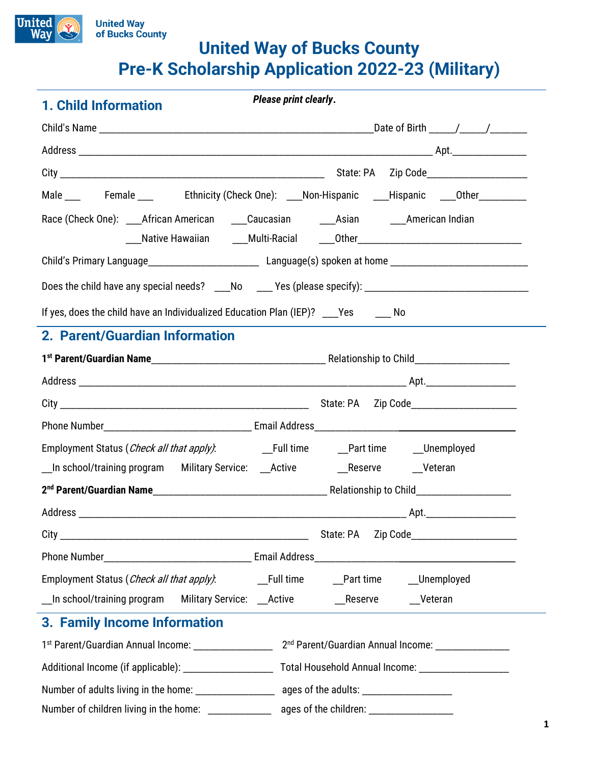

# **United Way<br>of Bucks County United Way of Bucks County Pre-K Scholarship Application 2022-23 (Military)**

| 1. Child Information                                                                                       | Please print clearly. |                              |                                  |  |
|------------------------------------------------------------------------------------------------------------|-----------------------|------------------------------|----------------------------------|--|
|                                                                                                            |                       |                              |                                  |  |
|                                                                                                            |                       |                              |                                  |  |
|                                                                                                            |                       |                              |                                  |  |
| Male ____ Female ____ Ethnicity (Check One): ___Non-Hispanic ___Hispanic ___Other ________                 |                       |                              |                                  |  |
|                                                                                                            |                       |                              |                                  |  |
| ___Native Hawaiian ______Multi-Racial _____Other________________________________                           |                       |                              |                                  |  |
|                                                                                                            |                       |                              |                                  |  |
| Does the child have any special needs? ___No ___Yes (please specify): ______________________________       |                       |                              |                                  |  |
| If yes, does the child have an Individualized Education Plan (IEP)? Ves Mo                                 |                       |                              |                                  |  |
| 2. Parent/Guardian Information                                                                             |                       |                              |                                  |  |
|                                                                                                            |                       |                              |                                  |  |
|                                                                                                            |                       |                              |                                  |  |
|                                                                                                            |                       |                              |                                  |  |
|                                                                                                            |                       |                              |                                  |  |
|                                                                                                            |                       |                              |                                  |  |
| __In school/training program Military Service: __Active ______________Reserve ______Veteran                |                       |                              |                                  |  |
|                                                                                                            |                       |                              |                                  |  |
|                                                                                                            |                       |                              |                                  |  |
|                                                                                                            |                       | State: PA                    | Zip Code________________________ |  |
|                                                                                                            |                       |                              |                                  |  |
| Employment Status (Check all that apply):                                                                  | <b>Eull time</b>      | __Part time ______Unemployed |                                  |  |
| _In school/training program Military Service: __Active __________________________Veteran                   |                       |                              |                                  |  |
| 3. Family Income Information                                                                               |                       |                              |                                  |  |
|                                                                                                            |                       |                              |                                  |  |
|                                                                                                            |                       |                              |                                  |  |
| Number of adults living in the home: __________________________ ages of the adults: ______________________ |                       |                              |                                  |  |
| Number of children living in the home: ____________________ ages of the children: __________________       |                       |                              |                                  |  |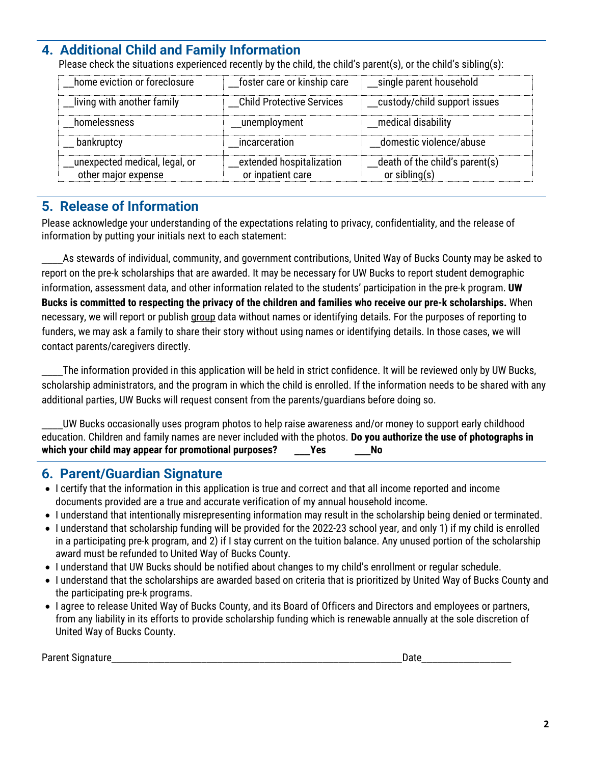## **4. Additional Child and Family Information**

Please check the situations experienced recently by the child, the child's parent(s), or the child's sibling(s):

| home eviction or foreclosure                         | foster care or kinship care                   | _single parent household                           |
|------------------------------------------------------|-----------------------------------------------|----------------------------------------------------|
| living with another family                           | <b>Child Protective Services</b>              | custody/child support issues                       |
| homelessness                                         | _unemployment                                 | medical disability                                 |
| bankruptcy                                           | incarceration                                 | domestic violence/abuse                            |
| unexpected medical, legal, or<br>other major expense | extended hospitalization<br>or inpatient care | death of the child's parent(s)<br>or sibling $(s)$ |

l

#### **5. Release of Information**

Please acknowledge your understanding of the expectations relating to privacy, confidentiality, and the release of information by putting your initials next to each statement:

\_\_\_\_As stewards of individual, community, and government contributions, United Way of Bucks County may be asked to report on the pre-k scholarships that are awarded. It may be necessary for UW Bucks to report student demographic information, assessment data, and other information related to the students' participation in the pre-k program. **UW Bucks is committed to respecting the privacy of the children and families who receive our pre-k scholarships.** When necessary, we will report or publish group data without names or identifying details. For the purposes of reporting to funders, we may ask a family to share their story without using names or identifying details. In those cases, we will contact parents/caregivers directly.

The information provided in this application will be held in strict confidence. It will be reviewed only by UW Bucks, scholarship administrators, and the program in which the child is enrolled. If the information needs to be shared with any additional parties, UW Bucks will request consent from the parents/guardians before doing so.

UW Bucks occasionally uses program photos to help raise awareness and/or money to support early childhood education. Children and family names are never included with the photos. **Do you authorize the use of photographs in which your child may appear for promotional purposes? \_\_\_Yes \_\_\_No**

#### **6. Parent/Guardian Signature**

- I certify that the information in this application is true and correct and that all income reported and income documents provided are a true and accurate verification of my annual household income.
- I understand that intentionally misrepresenting information may result in the scholarship being denied or terminated.
- I understand that scholarship funding will be provided for the 2022-23 school year, and only 1) if my child is enrolled in a participating pre-k program, and 2) if I stay current on the tuition balance. Any unused portion of the scholarship award must be refunded to United Way of Bucks County.
- I understand that UW Bucks should be notified about changes to my child's enrollment or regular schedule.
- I understand that the scholarships are awarded based on criteria that is prioritized by United Way of Bucks County and the participating pre-k programs.
- I agree to release United Way of Bucks County, and its Board of Officers and Directors and employees or partners, from any liability in its efforts to provide scholarship funding which is renewable annually at the sole discretion of United Way of Bucks County.

| Parer<br>.<br>. |  |
|-----------------|--|
|                 |  |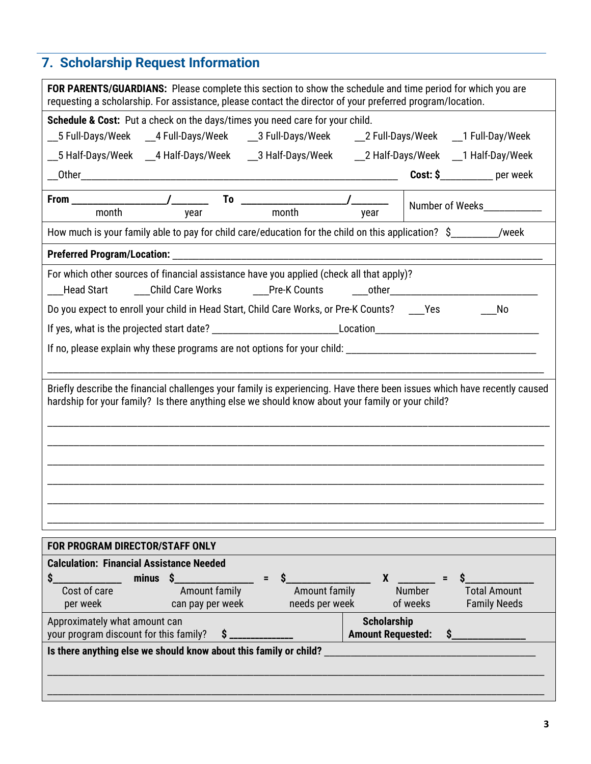# **7. Scholarship Request Information**

| <b>FOR PARENTS/GUARDIANS:</b> Please complete this section to show the schedule and time period for which you are<br>requesting a scholarship. For assistance, please contact the director of your preferred program/location. |                                                                       |  |
|--------------------------------------------------------------------------------------------------------------------------------------------------------------------------------------------------------------------------------|-----------------------------------------------------------------------|--|
| Schedule & Cost: Put a check on the days/times you need care for your child.                                                                                                                                                   |                                                                       |  |
| __5 Full-Days/Week  __4 Full-Days/Week  __3 Full-Days/Week   __2 Full-Days/Week  __1 Full-Day/Week                                                                                                                             |                                                                       |  |
| __5 Half-Days/Week __4 Half-Days/Week  __3 Half-Days/Week  __2 Half-Days/Week __1 Half-Day/Week                                                                                                                                |                                                                       |  |
|                                                                                                                                                                                                                                | Cost: \$__________ per week                                           |  |
|                                                                                                                                                                                                                                |                                                                       |  |
| month<br>month<br>year                                                                                                                                                                                                         | year                                                                  |  |
| How much is your family able to pay for child care/education for the child on this application? $\sin 2\theta$ /week                                                                                                           |                                                                       |  |
|                                                                                                                                                                                                                                |                                                                       |  |
| For which other sources of financial assistance have you applied (check all that apply)?                                                                                                                                       |                                                                       |  |
| ___Child Care Works     ___Pre-K Counts     ___other____________________________<br><b>Head Start</b>                                                                                                                          |                                                                       |  |
| Do you expect to enroll your child in Head Start, Child Care Works, or Pre-K Counts? ____ Yes                                                                                                                                  | No                                                                    |  |
|                                                                                                                                                                                                                                |                                                                       |  |
|                                                                                                                                                                                                                                |                                                                       |  |
|                                                                                                                                                                                                                                |                                                                       |  |
| Briefly describe the financial challenges your family is experiencing. Have there been issues which have recently caused<br>hardship for your family? Is there anything else we should know about your family or your child?   |                                                                       |  |
|                                                                                                                                                                                                                                |                                                                       |  |
|                                                                                                                                                                                                                                |                                                                       |  |
|                                                                                                                                                                                                                                |                                                                       |  |
| FOR PROGRAM DIRECTOR/STAFF ONLY                                                                                                                                                                                                |                                                                       |  |
| <b>Calculation: Financial Assistance Needed</b>                                                                                                                                                                                |                                                                       |  |
| minus<br>- S<br>S<br>S<br>$\equiv$<br>Cost of care<br>Amount family<br>Amount family<br>needs per week<br>per week<br>can pay per week                                                                                         | X<br><b>Number</b><br>Total Amount<br>of weeks<br><b>Family Needs</b> |  |
| Approximately what amount can<br>your program discount for this family?<br>\$.                                                                                                                                                 | <b>Scholarship</b><br><b>Amount Requested:</b>                        |  |
| Is there anything else we should know about this family or child?                                                                                                                                                              |                                                                       |  |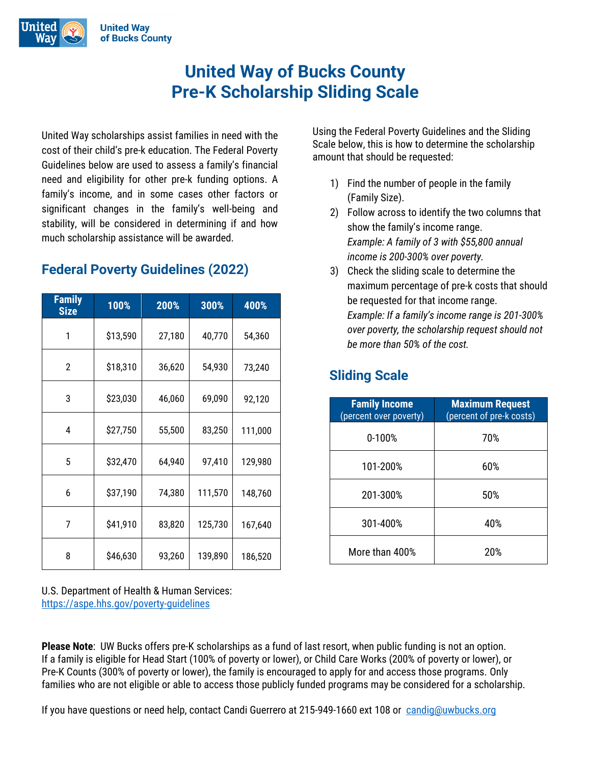United



income. In some cases, other factors or significant changes in the family's Guidelines below are used to assess a family's financial need and eligibility for other pre-k funding options. A a man is the number of people family's income, and in some cases other factors or United Way scholarships assist families in need with the cost of their child's pre-k education. The Federal Poverty significant changes in the family's well-being and stability, will be considered in determining if and how much scholarship assistance will be awarded.

## **Federal Poverty Guidelines (2022)**

| <b>Family</b><br><b>Size</b> | 100%     | 200%   | 300%    | 400%    |
|------------------------------|----------|--------|---------|---------|
| 1                            | \$13,590 | 27,180 | 40,770  | 54,360  |
| 2                            | \$18,310 | 36,620 | 54,930  | 73,240  |
| 3                            | \$23,030 | 46,060 | 69,090  | 92,120  |
| 4                            | \$27,750 | 55,500 | 83,250  | 111,000 |
| 5                            | \$32,470 | 64,940 | 97,410  | 129,980 |
| 6                            | \$37,190 | 74,380 | 111,570 | 148,760 |
| 7                            | \$41,910 | 83,820 | 125,730 | 167,640 |
| 8                            | \$46,630 | 93,260 | 139,890 | 186,520 |

U.S. Department of Health & Human Services: <https://aspe.hhs.gov/poverty-guidelines>

ns assist families in need with the cost of Using the Federal Poverty Guidelines and the Sliding reducation. The Federal Poverty state below, this is how to determine the scholarship amount that should be requested:

- 1) Find the number of people in the family (Family Size).
- 2) Follow across to identify the two columns that show the family's income range. *Example: A family of 3 with \$55,800 annual income is 200-300% over poverty.*
- 3) Check the sliding scale to determine the maximum percentage of pre-k costs that should be requested for that income range. *Example: If a family's income range is 201-300% over poverty, the scholarship request should not be more than 50% of the cost.*

## **Sliding Scale**

| <b>Family Income</b><br>(percent over poverty) | <b>Maximum Request</b><br>(percent of pre-k costs) |
|------------------------------------------------|----------------------------------------------------|
| $0 - 100%$                                     | 70%                                                |
| 101-200%                                       | 60%                                                |
| 201-300%                                       | 50%                                                |
| 301-400%                                       | 40%                                                |
| More than 400%                                 | 20%                                                |

**Please Note**: UW Bucks offers pre-K scholarships as a fund of last resort, when public funding is not an option. If a family is eligible for Head Start (100% of poverty or lower), or Child Care Works (200% of poverty or lower), or Pre-K Counts (300% of poverty or lower), the family is encouraged to apply for and access those programs. Only families who are not eligible or able to access those publicly funded programs may be considered for a scholarship.

If you have questions or need help, contact Candi Guerrero at 215-949-1660 ext 108 or [candig@uwbucks.org](mailto:candig@uwbucks.org)